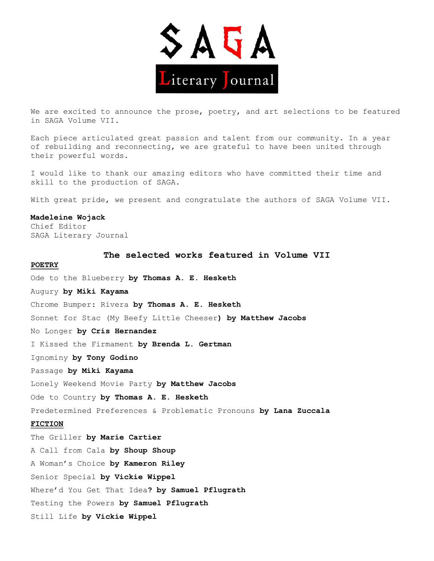

We are excited to announce the prose, poetry, and art selections to be featured in SAGA Volume VII.

Each piece articulated great passion and talent from our community. In a year of rebuilding and reconnecting, we are grateful to have been united through their powerful words.

I would like to thank our amazing editors who have committed their time and skill to the production of SAGA.

With great pride, we present and congratulate the authors of SAGA Volume VII.

## **Madeleine Wojack**

Chief Editor SAGA Literary Journal

**The selected works featured in Volume VII**

## **POETRY**

Ode to the Blueberry **by Thomas A. E. Hesketh** Augury **by Miki Kayama** Chrome Bumper: Rivera **by Thomas A. E. Hesketh** Sonnet for Stac (My Beefy Little Cheeser**) by Matthew Jacobs** No Longer **by Cris Hernandez** I Kissed the Firmament **by Brenda L. Gertman**  Ignominy **by Tony Godino**  Passage **by Miki Kayama**  Lonely Weekend Movie Party **by Matthew Jacobs**  Ode to Country **by Thomas A. E. Hesketh**  Predetermined Preferences & Problematic Pronouns **by Lana Zuccala FICTION** The Griller **by Marie Cartier** A Call from Cala **by Shoup Shoup** A Woman's Choice **by Kameron Riley** Senior Special **by Vickie Wippel**  Where'd You Get That Idea**? by Samuel Pflugrath**  Testing the Powers **by Samuel Pflugrath**  Still Life **by Vickie Wippel**